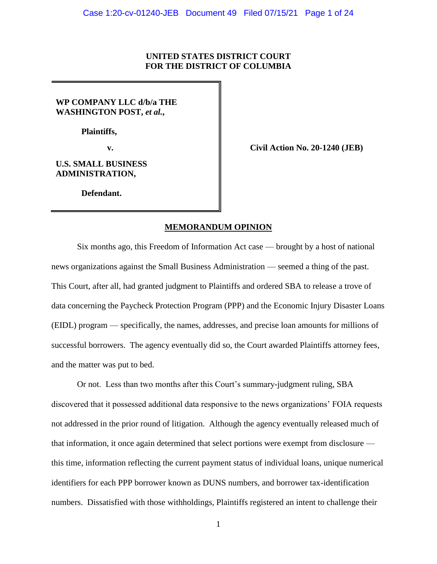# **UNITED STATES DISTRICT COURT FOR THE DISTRICT OF COLUMBIA**

# **WP COMPANY LLC d/b/a THE WASHINGTON POST,** *et al.***,**

**Plaintiffs,**

# **U.S. SMALL BUSINESS ADMINISTRATION,**

**v. Civil Action No. 20-1240 (JEB)**

**Defendant.**

# **MEMORANDUM OPINION**

Six months ago, this Freedom of Information Act case — brought by a host of national news organizations against the Small Business Administration — seemed a thing of the past. This Court, after all, had granted judgment to Plaintiffs and ordered SBA to release a trove of data concerning the Paycheck Protection Program (PPP) and the Economic Injury Disaster Loans (EIDL) program — specifically, the names, addresses, and precise loan amounts for millions of successful borrowers. The agency eventually did so, the Court awarded Plaintiffs attorney fees, and the matter was put to bed.

Or not. Less than two months after this Court's summary-judgment ruling, SBA discovered that it possessed additional data responsive to the news organizations' FOIA requests not addressed in the prior round of litigation. Although the agency eventually released much of that information, it once again determined that select portions were exempt from disclosure this time, information reflecting the current payment status of individual loans, unique numerical identifiers for each PPP borrower known as DUNS numbers, and borrower tax-identification numbers. Dissatisfied with those withholdings, Plaintiffs registered an intent to challenge their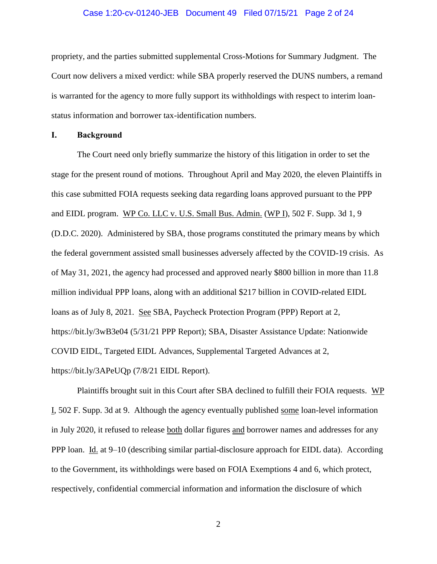#### Case 1:20-cv-01240-JEB Document 49 Filed 07/15/21 Page 2 of 24

propriety, and the parties submitted supplemental Cross-Motions for Summary Judgment. The Court now delivers a mixed verdict: while SBA properly reserved the DUNS numbers, a remand is warranted for the agency to more fully support its withholdings with respect to interim loanstatus information and borrower tax-identification numbers.

#### **I. Background**

The Court need only briefly summarize the history of this litigation in order to set the stage for the present round of motions. Throughout April and May 2020, the eleven Plaintiffs in this case submitted FOIA requests seeking data regarding loans approved pursuant to the PPP and EIDL program. WP Co. LLC v. U.S. Small Bus. Admin. (WP I), 502 F. Supp. 3d 1, 9 (D.D.C. 2020). Administered by SBA, those programs constituted the primary means by which the federal government assisted small businesses adversely affected by the COVID-19 crisis. As of May 31, 2021, the agency had processed and approved nearly \$800 billion in more than 11.8 million individual PPP loans, along with an additional \$217 billion in COVID-related EIDL loans as of July 8, 2021. See SBA, Paycheck Protection Program (PPP) Report at 2, https://bit.ly/3wB3e04 (5/31/21 PPP Report); SBA, Disaster Assistance Update: Nationwide COVID EIDL, Targeted EIDL Advances, Supplemental Targeted Advances at 2, https://bit.ly/3APeUQp (7/8/21 EIDL Report).

Plaintiffs brought suit in this Court after SBA declined to fulfill their FOIA requests. WP I, 502 F. Supp. 3d at 9. Although the agency eventually published some loan-level information in July 2020, it refused to release both dollar figures and borrower names and addresses for any PPP loan. Id. at 9–10 (describing similar partial-disclosure approach for EIDL data). According to the Government, its withholdings were based on FOIA Exemptions 4 and 6, which protect, respectively, confidential commercial information and information the disclosure of which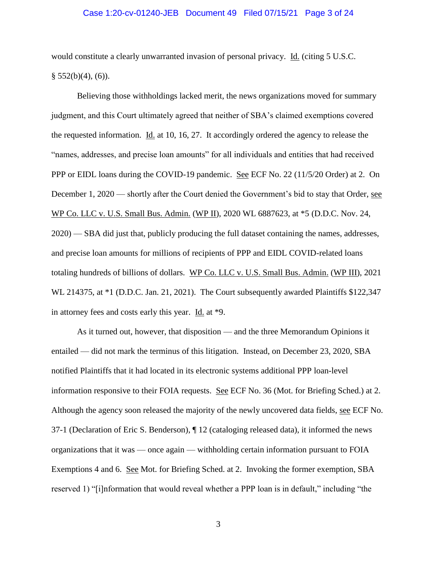## Case 1:20-cv-01240-JEB Document 49 Filed 07/15/21 Page 3 of 24

would constitute a clearly unwarranted invasion of personal privacy. Id. (citing 5 U.S.C.  $§ 552(b)(4), (6)$ .

Believing those withholdings lacked merit, the news organizations moved for summary judgment, and this Court ultimately agreed that neither of SBA's claimed exemptions covered the requested information. Id. at 10, 16, 27. It accordingly ordered the agency to release the "names, addresses, and precise loan amounts" for all individuals and entities that had received PPP or EIDL loans during the COVID-19 pandemic. See ECF No. 22 (11/5/20 Order) at 2. On December 1, 2020 — shortly after the Court denied the Government's bid to stay that Order, see WP Co. LLC v. U.S. Small Bus. Admin. (WP II), 2020 WL 6887623, at \*5 (D.D.C. Nov. 24, 2020) — SBA did just that, publicly producing the full dataset containing the names, addresses, and precise loan amounts for millions of recipients of PPP and EIDL COVID-related loans totaling hundreds of billions of dollars. WP Co. LLC v. U.S. Small Bus. Admin. (WP III), 2021 WL 214375, at  $*1$  (D.D.C. Jan. 21, 2021). The Court subsequently awarded Plaintiffs \$122,347 in attorney fees and costs early this year. Id. at \*9.

As it turned out, however, that disposition — and the three Memorandum Opinions it entailed — did not mark the terminus of this litigation. Instead, on December 23, 2020, SBA notified Plaintiffs that it had located in its electronic systems additional PPP loan-level information responsive to their FOIA requests. See ECF No. 36 (Mot. for Briefing Sched.) at 2. Although the agency soon released the majority of the newly uncovered data fields, see ECF No. 37-1 (Declaration of Eric S. Benderson), ¶ 12 (cataloging released data), it informed the news organizations that it was — once again — withholding certain information pursuant to FOIA Exemptions 4 and 6. See Mot. for Briefing Sched. at 2. Invoking the former exemption, SBA reserved 1) "[i]nformation that would reveal whether a PPP loan is in default," including "the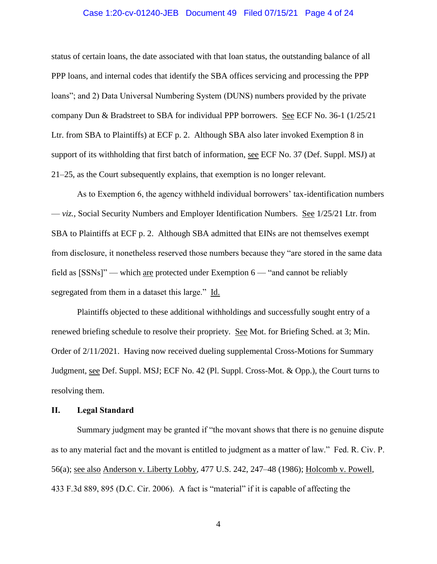# Case 1:20-cv-01240-JEB Document 49 Filed 07/15/21 Page 4 of 24

status of certain loans, the date associated with that loan status, the outstanding balance of all PPP loans, and internal codes that identify the SBA offices servicing and processing the PPP loans"; and 2) Data Universal Numbering System (DUNS) numbers provided by the private company Dun & Bradstreet to SBA for individual PPP borrowers. See ECF No. 36-1 (1/25/21 Ltr. from SBA to Plaintiffs) at ECF p. 2. Although SBA also later invoked Exemption 8 in support of its withholding that first batch of information, see ECF No. 37 (Def. Suppl. MSJ) at 21–25, as the Court subsequently explains, that exemption is no longer relevant.

As to Exemption 6, the agency withheld individual borrowers' tax-identification numbers — *viz.*, Social Security Numbers and Employer Identification Numbers. See 1/25/21 Ltr. from SBA to Plaintiffs at ECF p. 2. Although SBA admitted that EINs are not themselves exempt from disclosure, it nonetheless reserved those numbers because they "are stored in the same data field as [SSNs]" — which are protected under Exemption 6 — "and cannot be reliably segregated from them in a dataset this large." Id.

Plaintiffs objected to these additional withholdings and successfully sought entry of a renewed briefing schedule to resolve their propriety. See Mot. for Briefing Sched. at 3; Min. Order of 2/11/2021. Having now received dueling supplemental Cross-Motions for Summary Judgment, see Def. Suppl. MSJ; ECF No. 42 (Pl. Suppl. Cross-Mot. & Opp.), the Court turns to resolving them.

### **II. Legal Standard**

Summary judgment may be granted if "the movant shows that there is no genuine dispute as to any material fact and the movant is entitled to judgment as a matter of law." Fed. R. Civ. P. 56(a); see also Anderson v. Liberty Lobby, 477 U.S. 242, 247–48 (1986); Holcomb v. Powell, 433 F.3d 889, 895 (D.C. Cir. 2006). A fact is "material" if it is capable of affecting the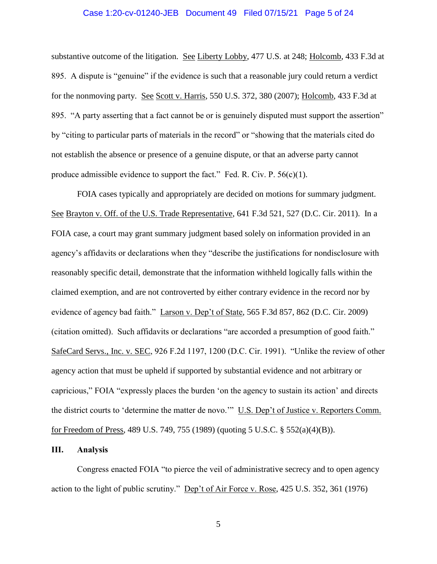# Case 1:20-cv-01240-JEB Document 49 Filed 07/15/21 Page 5 of 24

substantive outcome of the litigation. See Liberty Lobby, 477 U.S. at 248; Holcomb, 433 F.3d at 895. A dispute is "genuine" if the evidence is such that a reasonable jury could return a verdict for the nonmoving party. See Scott v. Harris, 550 U.S. 372, 380 (2007); Holcomb, 433 F.3d at 895. "A party asserting that a fact cannot be or is genuinely disputed must support the assertion" by "citing to particular parts of materials in the record" or "showing that the materials cited do not establish the absence or presence of a genuine dispute, or that an adverse party cannot produce admissible evidence to support the fact." Fed. R. Civ. P.  $56(c)(1)$ .

FOIA cases typically and appropriately are decided on motions for summary judgment. See Brayton v. Off. of the U.S. Trade Representative, 641 F.3d 521, 527 (D.C. Cir. 2011). In a FOIA case, a court may grant summary judgment based solely on information provided in an agency's affidavits or declarations when they "describe the justifications for nondisclosure with reasonably specific detail, demonstrate that the information withheld logically falls within the claimed exemption, and are not controverted by either contrary evidence in the record nor by evidence of agency bad faith." Larson v. Dep't of State, 565 F.3d 857, 862 (D.C. Cir. 2009) (citation omitted). Such affidavits or declarations "are accorded a presumption of good faith." SafeCard Servs., Inc. v. SEC, 926 F.2d 1197, 1200 (D.C. Cir. 1991). "Unlike the review of other agency action that must be upheld if supported by substantial evidence and not arbitrary or capricious," FOIA "expressly places the burden 'on the agency to sustain its action' and directs the district courts to 'determine the matter de novo.'" U.S. Dep't of Justice v. Reporters Comm. for Freedom of Press, 489 U.S. 749, 755 (1989) (quoting 5 U.S.C. § 552(a)(4)(B)).

# **III. Analysis**

Congress enacted FOIA "to pierce the veil of administrative secrecy and to open agency action to the light of public scrutiny." Dep't of Air Force v. Rose, 425 U.S. 352, 361 (1976)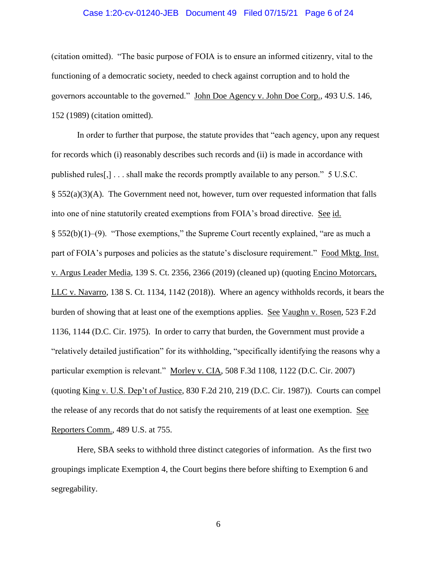# Case 1:20-cv-01240-JEB Document 49 Filed 07/15/21 Page 6 of 24

(citation omitted). "The basic purpose of FOIA is to ensure an informed citizenry, vital to the functioning of a democratic society, needed to check against corruption and to hold the governors accountable to the governed." John Doe Agency v. John Doe Corp., 493 U.S. 146, 152 (1989) (citation omitted).

In order to further that purpose, the statute provides that "each agency, upon any request for records which (i) reasonably describes such records and (ii) is made in accordance with published rules[,] . . . shall make the records promptly available to any person." 5 U.S.C.  $\S$  552(a)(3)(A). The Government need not, however, turn over requested information that falls into one of nine statutorily created exemptions from FOIA's broad directive. See id. § 552(b)(1)–(9). "Those exemptions," the Supreme Court recently explained, "are as much a part of FOIA's purposes and policies as the statute's disclosure requirement." Food Mktg. Inst. v. Argus Leader Media, 139 S. Ct. 2356, 2366 (2019) (cleaned up) (quoting Encino Motorcars, LLC v. Navarro, 138 S. Ct. 1134, 1142 (2018)). Where an agency withholds records, it bears the burden of showing that at least one of the exemptions applies. See Vaughn v. Rosen, 523 F.2d 1136, 1144 (D.C. Cir. 1975). In order to carry that burden, the Government must provide a "relatively detailed justification" for its withholding, "specifically identifying the reasons why a particular exemption is relevant." Morley v. CIA, 508 F.3d 1108, 1122 (D.C. Cir. 2007) (quoting King v. U.S. Dep't of Justice, 830 F.2d 210, 219 (D.C. Cir. 1987)). Courts can compel the release of any records that do not satisfy the requirements of at least one exemption. See Reporters Comm., 489 U.S. at 755.

Here, SBA seeks to withhold three distinct categories of information. As the first two groupings implicate Exemption 4, the Court begins there before shifting to Exemption 6 and segregability.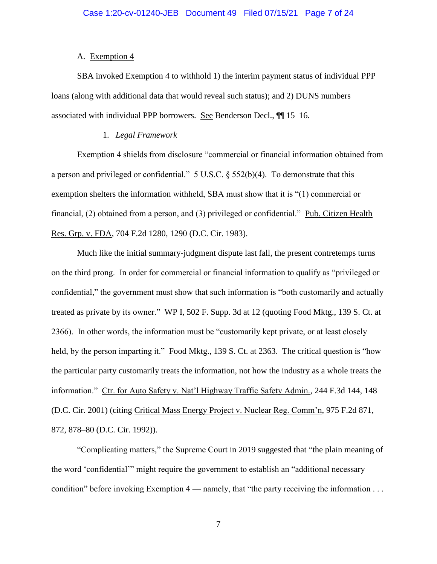# A. Exemption 4

SBA invoked Exemption 4 to withhold 1) the interim payment status of individual PPP loans (along with additional data that would reveal such status); and 2) DUNS numbers associated with individual PPP borrowers. See Benderson Decl., ¶¶ 15–16.

# 1. *Legal Framework*

Exemption 4 shields from disclosure "commercial or financial information obtained from a person and privileged or confidential."  $5 \text{ U.S.C.}$  §  $552(b)(4)$ . To demonstrate that this exemption shelters the information withheld, SBA must show that it is "(1) commercial or financial, (2) obtained from a person, and (3) privileged or confidential." Pub. Citizen Health Res. Grp. v. FDA, 704 F.2d 1280, 1290 (D.C. Cir. 1983).

Much like the initial summary-judgment dispute last fall, the present contretemps turns on the third prong. In order for commercial or financial information to qualify as "privileged or confidential," the government must show that such information is "both customarily and actually treated as private by its owner." WP I, 502 F. Supp. 3d at 12 (quoting Food Mktg., 139 S. Ct. at 2366). In other words, the information must be "customarily kept private, or at least closely held, by the person imparting it." Food Mktg., 139 S. Ct. at 2363. The critical question is "how the particular party customarily treats the information, not how the industry as a whole treats the information." Ctr. for Auto Safety v. Nat'l Highway Traffic Safety Admin., 244 F.3d 144, 148 (D.C. Cir. 2001) (citing Critical Mass Energy Project v. Nuclear Reg. Comm'n, 975 F.2d 871, 872, 878–80 (D.C. Cir. 1992)).

"Complicating matters," the Supreme Court in 2019 suggested that "the plain meaning of the word 'confidential'" might require the government to establish an "additional necessary condition" before invoking Exemption 4 — namely, that "the party receiving the information . . .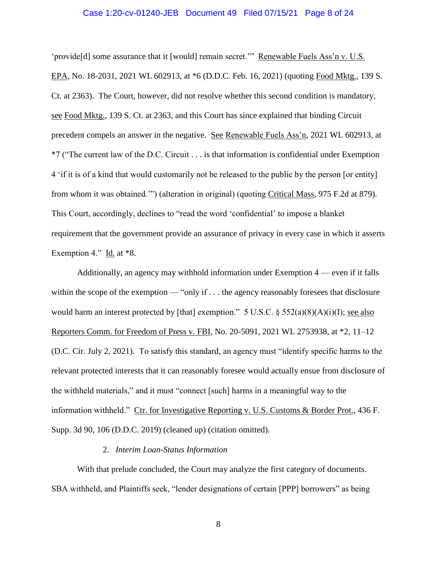#### Case 1:20-cv-01240-JEB Document 49 Filed 07/15/21 Page 8 of 24

'provide[d] some assurance that it [would] remain secret.'" Renewable Fuels Ass'n v. U.S. EPA, No. 18-2031, 2021 WL 602913, at \*6 (D.D.C. Feb. 16, 2021) (quoting Food Mktg., 139 S. Ct. at 2363). The Court, however, did not resolve whether this second condition is mandatory, see Food Mktg., 139 S. Ct. at 2363, and this Court has since explained that binding Circuit precedent compels an answer in the negative. See Renewable Fuels Ass'n, 2021 WL 602913, at \*7 ("The current law of the D.C. Circuit . . . is that information is confidential under Exemption 4 'if it is of a kind that would customarily not be released to the public by the person [or entity] from whom it was obtained.'") (alteration in original) (quoting Critical Mass, 975 F.2d at 879). This Court, accordingly, declines to "read the word 'confidential' to impose a blanket requirement that the government provide an assurance of privacy in every case in which it asserts Exemption 4." Id. at  $*8$ .

Additionally, an agency may withhold information under Exemption 4 — even if it falls within the scope of the exemption — "only if . . . the agency reasonably foresees that disclosure would harm an interest protected by [that] exemption." 5 U.S.C.  $\S$  552(a)(8)(A)(i)(I); see also Reporters Comm. for Freedom of Press v. FBI, No. 20-5091, 2021 WL 2753938, at \*2, 11–12 (D.C. Cir. July 2, 2021). To satisfy this standard, an agency must "identify specific harms to the relevant protected interests that it can reasonably foresee would actually ensue from disclosure of the withheld materials," and it must "connect [such] harms in a meaningful way to the information withheld." Ctr. for Investigative Reporting v. U.S. Customs & Border Prot., 436 F. Supp. 3d 90, 106 (D.D.C. 2019) (cleaned up) (citation omitted).

# 2. *Interim Loan-Status Information*

With that prelude concluded, the Court may analyze the first category of documents. SBA withheld, and Plaintiffs seek, "lender designations of certain [PPP] borrowers" as being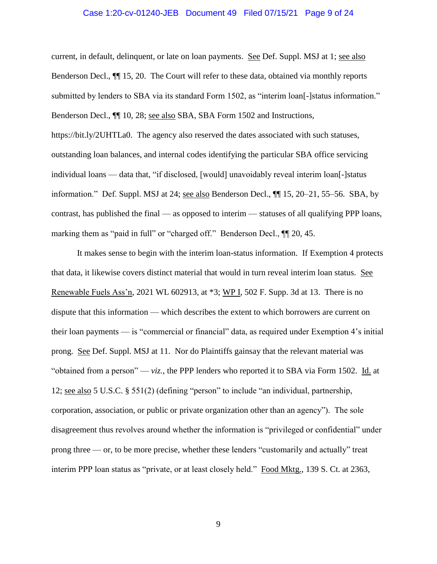#### Case 1:20-cv-01240-JEB Document 49 Filed 07/15/21 Page 9 of 24

current, in default, delinquent, or late on loan payments. <u>See</u> Def. Suppl. MSJ at 1; <u>see also</u> Benderson Decl., ¶¶ 15, 20. The Court will refer to these data, obtained via monthly reports submitted by lenders to SBA via its standard Form 1502, as "interim loan<sup>[-</sup>]status information." Benderson Decl., ¶¶ 10, 28; see also SBA, SBA Form 1502 and Instructions, https://bit.ly/2UHTLa0. The agency also reserved the dates associated with such statuses, outstanding loan balances, and internal codes identifying the particular SBA office servicing individual loans — data that, "if disclosed, [would] unavoidably reveal interim loan[-]status information." Def. Suppl. MSJ at 24; see also Benderson Decl., ¶¶ 15, 20–21, 55–56. SBA, by contrast, has published the final — as opposed to interim — statuses of all qualifying PPP loans, marking them as "paid in full" or "charged off." Benderson Decl.,  $\P$ [20, 45.

It makes sense to begin with the interim loan-status information. If Exemption 4 protects that data, it likewise covers distinct material that would in turn reveal interim loan status. See Renewable Fuels Ass'n, 2021 WL 602913, at \*3; WP I, 502 F. Supp. 3d at 13. There is no dispute that this information — which describes the extent to which borrowers are current on their loan payments — is "commercial or financial" data, as required under Exemption 4's initial prong. See Def. Suppl. MSJ at 11. Nor do Plaintiffs gainsay that the relevant material was "obtained from a person" — *viz.*, the PPP lenders who reported it to SBA via Form 1502. Id. at 12; see also 5 U.S.C. § 551(2) (defining "person" to include "an individual, partnership, corporation, association, or public or private organization other than an agency"). The sole disagreement thus revolves around whether the information is "privileged or confidential" under prong three — or, to be more precise, whether these lenders "customarily and actually" treat interim PPP loan status as "private, or at least closely held." Food Mktg., 139 S. Ct. at 2363,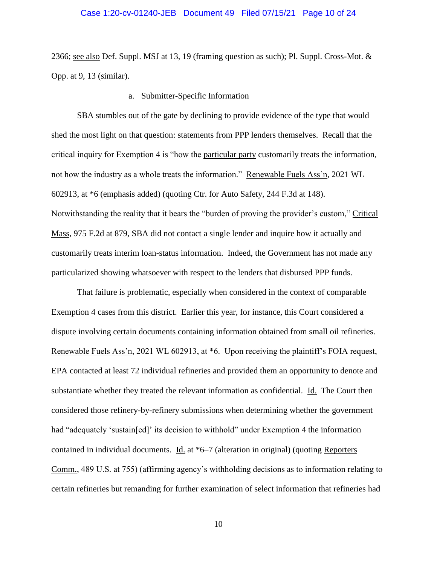# Case 1:20-cv-01240-JEB Document 49 Filed 07/15/21 Page 10 of 24

2366; see also Def. Suppl. MSJ at 13, 19 (framing question as such); Pl. Suppl. Cross-Mot. & Opp. at 9, 13 (similar).

a. Submitter-Specific Information

SBA stumbles out of the gate by declining to provide evidence of the type that would shed the most light on that question: statements from PPP lenders themselves. Recall that the critical inquiry for Exemption 4 is "how the particular party customarily treats the information, not how the industry as a whole treats the information." Renewable Fuels Ass'n, 2021 WL 602913, at \*6 (emphasis added) (quoting Ctr. for Auto Safety, 244 F.3d at 148). Notwithstanding the reality that it bears the "burden of proving the provider's custom," Critical Mass, 975 F.2d at 879, SBA did not contact a single lender and inquire how it actually and customarily treats interim loan-status information. Indeed, the Government has not made any particularized showing whatsoever with respect to the lenders that disbursed PPP funds.

That failure is problematic, especially when considered in the context of comparable Exemption 4 cases from this district. Earlier this year, for instance, this Court considered a dispute involving certain documents containing information obtained from small oil refineries. Renewable Fuels Ass'n, 2021 WL 602913, at \*6. Upon receiving the plaintiff's FOIA request, EPA contacted at least 72 individual refineries and provided them an opportunity to denote and substantiate whether they treated the relevant information as confidential. Id. The Court then considered those refinery-by-refinery submissions when determining whether the government had "adequately 'sustain[ed]' its decision to withhold" under Exemption 4 the information contained in individual documents. Id. at  $*6-7$  (alteration in original) (quoting Reporters Comm., 489 U.S. at 755) (affirming agency's withholding decisions as to information relating to certain refineries but remanding for further examination of select information that refineries had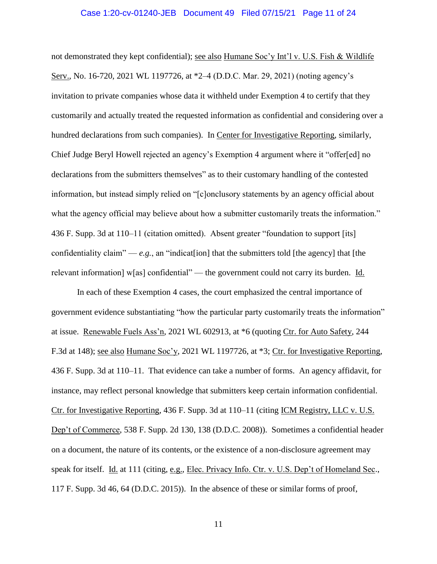#### Case 1:20-cv-01240-JEB Document 49 Filed 07/15/21 Page 11 of 24

not demonstrated they kept confidential); <u>see also Humane Soc'y Int'l v. U.S. Fish & Wildlife</u> Serv., No. 16-720, 2021 WL 1197726, at \*2–4 (D.D.C. Mar. 29, 2021) (noting agency's invitation to private companies whose data it withheld under Exemption 4 to certify that they customarily and actually treated the requested information as confidential and considering over a hundred declarations from such companies). In Center for Investigative Reporting, similarly, Chief Judge Beryl Howell rejected an agency's Exemption 4 argument where it "offer[ed] no declarations from the submitters themselves" as to their customary handling of the contested information, but instead simply relied on "[c]onclusory statements by an agency official about what the agency official may believe about how a submitter customarily treats the information." 436 F. Supp. 3d at 110–11 (citation omitted). Absent greater "foundation to support [its] confidentiality claim" —  $e.g.,$  an "indicaterion] that the submitters told [the agency] that [the relevant information] w[as] confidential" — the government could not carry its burden. Id.

In each of these Exemption 4 cases, the court emphasized the central importance of government evidence substantiating "how the particular party customarily treats the information" at issue. Renewable Fuels Ass'n, 2021 WL 602913, at \*6 (quoting Ctr. for Auto Safety, 244 F.3d at 148); see also Humane Soc'y, 2021 WL 1197726, at \*3; Ctr. for Investigative Reporting, 436 F. Supp. 3d at 110–11. That evidence can take a number of forms. An agency affidavit, for instance, may reflect personal knowledge that submitters keep certain information confidential. Ctr. for Investigative Reporting, 436 F. Supp. 3d at 110–11 (citing ICM Registry, LLC v. U.S. Dep't of Commerce, 538 F. Supp. 2d 130, 138 (D.D.C. 2008)). Sometimes a confidential header on a document, the nature of its contents, or the existence of a non-disclosure agreement may speak for itself. Id. at 111 (citing, e.g., Elec. Privacy Info. Ctr. v. U.S. Dep't of Homeland Sec., 117 F. Supp. 3d 46, 64 (D.D.C. 2015)). In the absence of these or similar forms of proof,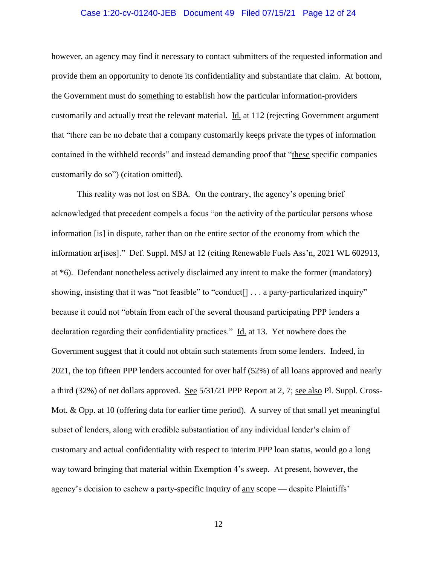# Case 1:20-cv-01240-JEB Document 49 Filed 07/15/21 Page 12 of 24

however, an agency may find it necessary to contact submitters of the requested information and provide them an opportunity to denote its confidentiality and substantiate that claim. At bottom, the Government must do something to establish how the particular information-providers customarily and actually treat the relevant material. Id. at 112 (rejecting Government argument that "there can be no debate that a company customarily keeps private the types of information contained in the withheld records" and instead demanding proof that "these specific companies customarily do so") (citation omitted).

This reality was not lost on SBA. On the contrary, the agency's opening brief acknowledged that precedent compels a focus "on the activity of the particular persons whose information [is] in dispute, rather than on the entire sector of the economy from which the information ar[ises]." Def. Suppl. MSJ at 12 (citing Renewable Fuels Ass'n, 2021 WL 602913, at \*6). Defendant nonetheless actively disclaimed any intent to make the former (mandatory) showing, insisting that it was "not feasible" to "conduct<sup>[]</sup> . . . a party-particularized inquiry" because it could not "obtain from each of the several thousand participating PPP lenders a declaration regarding their confidentiality practices." Id. at 13. Yet nowhere does the Government suggest that it could not obtain such statements from some lenders. Indeed, in 2021, the top fifteen PPP lenders accounted for over half (52%) of all loans approved and nearly a third (32%) of net dollars approved. See 5/31/21 PPP Report at 2, 7; see also Pl. Suppl. Cross-Mot. & Opp. at 10 (offering data for earlier time period). A survey of that small yet meaningful subset of lenders, along with credible substantiation of any individual lender's claim of customary and actual confidentiality with respect to interim PPP loan status, would go a long way toward bringing that material within Exemption 4's sweep. At present, however, the agency's decision to eschew a party-specific inquiry of <u>any</u> scope — despite Plaintiffs'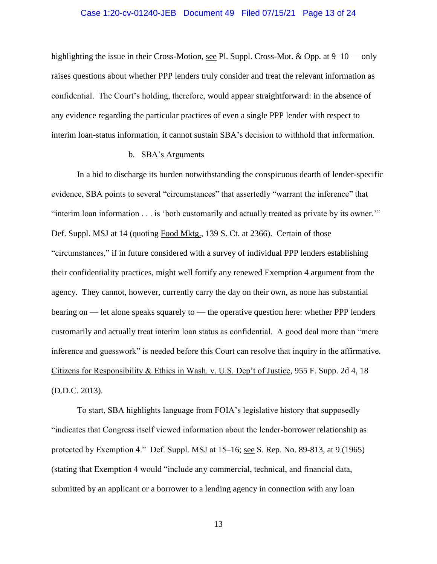# Case 1:20-cv-01240-JEB Document 49 Filed 07/15/21 Page 13 of 24

highlighting the issue in their Cross-Motion, <u>see</u> Pl. Suppl. Cross-Mot. & Opp. at 9–10 — only raises questions about whether PPP lenders truly consider and treat the relevant information as confidential. The Court's holding, therefore, would appear straightforward: in the absence of any evidence regarding the particular practices of even a single PPP lender with respect to interim loan-status information, it cannot sustain SBA's decision to withhold that information.

# b. SBA's Arguments

In a bid to discharge its burden notwithstanding the conspicuous dearth of lender-specific evidence, SBA points to several "circumstances" that assertedly "warrant the inference" that "interim loan information . . . is 'both customarily and actually treated as private by its owner.'" Def. Suppl. MSJ at 14 (quoting Food Mktg., 139 S. Ct. at 2366). Certain of those "circumstances," if in future considered with a survey of individual PPP lenders establishing their confidentiality practices, might well fortify any renewed Exemption 4 argument from the agency. They cannot, however, currently carry the day on their own, as none has substantial bearing on — let alone speaks squarely to — the operative question here: whether PPP lenders customarily and actually treat interim loan status as confidential. A good deal more than "mere inference and guesswork" is needed before this Court can resolve that inquiry in the affirmative. Citizens for Responsibility & Ethics in Wash. v. U.S. Dep't of Justice, 955 F. Supp. 2d 4, 18 (D.D.C. 2013).

To start, SBA highlights language from FOIA's legislative history that supposedly "indicates that Congress itself viewed information about the lender-borrower relationship as protected by Exemption 4." Def. Suppl. MSJ at  $15-16$ ; <u>see</u> S. Rep. No. 89-813, at 9 (1965) (stating that Exemption 4 would "include any commercial, technical, and financial data, submitted by an applicant or a borrower to a lending agency in connection with any loan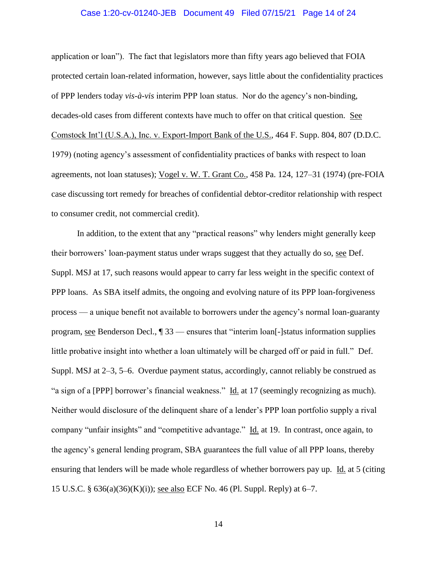### Case 1:20-cv-01240-JEB Document 49 Filed 07/15/21 Page 14 of 24

application or loan"). The fact that legislators more than fifty years ago believed that FOIA protected certain loan-related information, however, says little about the confidentiality practices of PPP lenders today *vis-à-vis* interim PPP loan status. Nor do the agency's non-binding, decades-old cases from different contexts have much to offer on that critical question. See Comstock Int'l (U.S.A.), Inc. v. Export-Import Bank of the U.S., 464 F. Supp. 804, 807 (D.D.C. 1979) (noting agency's assessment of confidentiality practices of banks with respect to loan agreements, not loan statuses); Vogel v. W. T. Grant Co., 458 Pa. 124, 127–31 (1974) (pre-FOIA case discussing tort remedy for breaches of confidential debtor-creditor relationship with respect to consumer credit, not commercial credit).

In addition, to the extent that any "practical reasons" why lenders might generally keep their borrowers' loan-payment status under wraps suggest that they actually do so, see Def. Suppl. MSJ at 17, such reasons would appear to carry far less weight in the specific context of PPP loans. As SBA itself admits, the ongoing and evolving nature of its PPP loan-forgiveness process — a unique benefit not available to borrowers under the agency's normal loan-guaranty program, see Benderson Decl., ¶ 33 — ensures that "interim loan[-]status information supplies little probative insight into whether a loan ultimately will be charged off or paid in full." Def. Suppl. MSJ at 2–3, 5–6. Overdue payment status, accordingly, cannot reliably be construed as "a sign of a [PPP] borrower's financial weakness." Id. at 17 (seemingly recognizing as much). Neither would disclosure of the delinquent share of a lender's PPP loan portfolio supply a rival company "unfair insights" and "competitive advantage." Id. at 19. In contrast, once again, to the agency's general lending program, SBA guarantees the full value of all PPP loans, thereby ensuring that lenders will be made whole regardless of whether borrowers pay up. Id. at 5 (citing 15 U.S.C. § 636(a)(36)(K)(i)); see also ECF No. 46 (Pl. Suppl. Reply) at 6–7.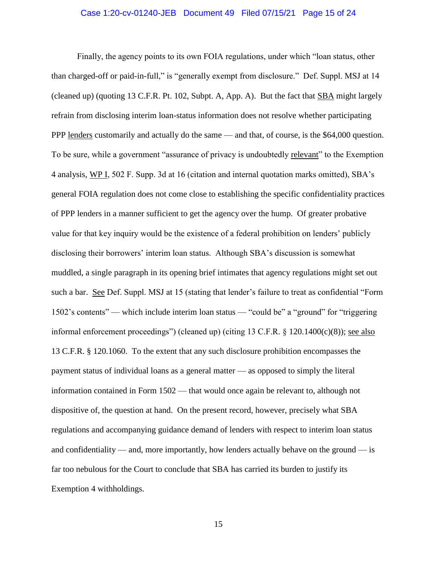# Case 1:20-cv-01240-JEB Document 49 Filed 07/15/21 Page 15 of 24

Finally, the agency points to its own FOIA regulations, under which "loan status, other than charged-off or paid-in-full," is "generally exempt from disclosure." Def. Suppl. MSJ at 14 (cleaned up) (quoting 13 C.F.R. Pt. 102, Subpt. A, App. A). But the fact that SBA might largely refrain from disclosing interim loan-status information does not resolve whether participating PPP lenders customarily and actually do the same — and that, of course, is the \$64,000 question. To be sure, while a government "assurance of privacy is undoubtedly relevant" to the Exemption 4 analysis, WP I, 502 F. Supp. 3d at 16 (citation and internal quotation marks omitted), SBA's general FOIA regulation does not come close to establishing the specific confidentiality practices of PPP lenders in a manner sufficient to get the agency over the hump. Of greater probative value for that key inquiry would be the existence of a federal prohibition on lenders' publicly disclosing their borrowers' interim loan status. Although SBA's discussion is somewhat muddled, a single paragraph in its opening brief intimates that agency regulations might set out such a bar. See Def. Suppl. MSJ at 15 (stating that lender's failure to treat as confidential "Form 1502's contents" — which include interim loan status — "could be" a "ground" for "triggering informal enforcement proceedings") (cleaned up) (citing 13 C.F.R. § 120.1400(c)(8)); see also 13 C.F.R. § 120.1060. To the extent that any such disclosure prohibition encompasses the payment status of individual loans as a general matter — as opposed to simply the literal information contained in Form 1502 — that would once again be relevant to, although not dispositive of, the question at hand. On the present record, however, precisely what SBA regulations and accompanying guidance demand of lenders with respect to interim loan status and confidentiality — and, more importantly, how lenders actually behave on the ground — is far too nebulous for the Court to conclude that SBA has carried its burden to justify its Exemption 4 withholdings.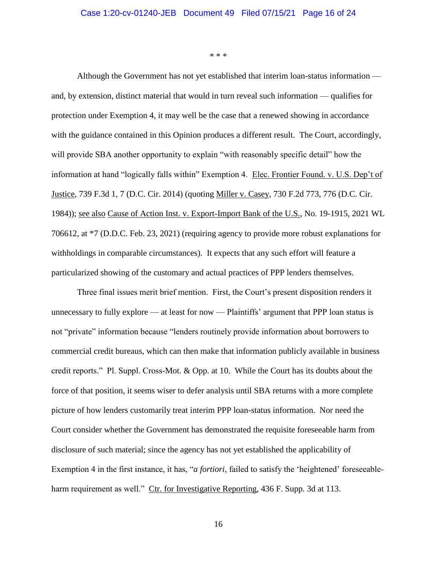\* \* \*

Although the Government has not yet established that interim loan-status information and, by extension, distinct material that would in turn reveal such information — qualifies for protection under Exemption 4, it may well be the case that a renewed showing in accordance with the guidance contained in this Opinion produces a different result. The Court, accordingly, will provide SBA another opportunity to explain "with reasonably specific detail" how the information at hand "logically falls within" Exemption 4. Elec. Frontier Found. v. U.S. Dep't of Justice, 739 F.3d 1, 7 (D.C. Cir. 2014) (quoting Miller v. Casey, 730 F.2d 773, 776 (D.C. Cir. 1984)); see also Cause of Action Inst. v. Export-Import Bank of the U.S., No. 19-1915, 2021 WL 706612, at \*7 (D.D.C. Feb. 23, 2021) (requiring agency to provide more robust explanations for withholdings in comparable circumstances). It expects that any such effort will feature a particularized showing of the customary and actual practices of PPP lenders themselves.

Three final issues merit brief mention. First, the Court's present disposition renders it unnecessary to fully explore — at least for now — Plaintiffs' argument that PPP loan status is not "private" information because "lenders routinely provide information about borrowers to commercial credit bureaus, which can then make that information publicly available in business credit reports." Pl. Suppl. Cross-Mot. & Opp. at 10. While the Court has its doubts about the force of that position, it seems wiser to defer analysis until SBA returns with a more complete picture of how lenders customarily treat interim PPP loan-status information. Nor need the Court consider whether the Government has demonstrated the requisite foreseeable harm from disclosure of such material; since the agency has not yet established the applicability of Exemption 4 in the first instance, it has, "*a fortiori*, failed to satisfy the 'heightened' foreseeableharm requirement as well." Ctr. for Investigative Reporting, 436 F. Supp. 3d at 113.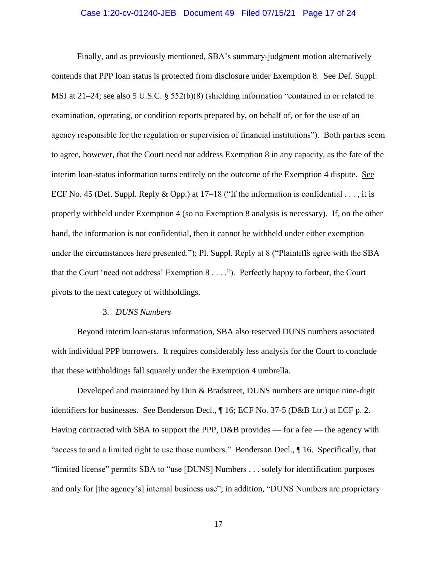# Case 1:20-cv-01240-JEB Document 49 Filed 07/15/21 Page 17 of 24

Finally, and as previously mentioned, SBA's summary-judgment motion alternatively contends that PPP loan status is protected from disclosure under Exemption 8. See Def. Suppl. MSJ at 21–24; see also 5 U.S.C. § 552(b)(8) (shielding information "contained in or related to examination, operating, or condition reports prepared by, on behalf of, or for the use of an agency responsible for the regulation or supervision of financial institutions"). Both parties seem to agree, however, that the Court need not address Exemption 8 in any capacity, as the fate of the interim loan-status information turns entirely on the outcome of the Exemption 4 dispute. See ECF No. 45 (Def. Suppl. Reply & Opp.) at  $17-18$  ("If the information is confidential . . . , it is properly withheld under Exemption 4 (so no Exemption 8 analysis is necessary). If, on the other hand, the information is not confidential, then it cannot be withheld under either exemption under the circumstances here presented."); Pl. Suppl. Reply at 8 ("Plaintiffs agree with the SBA that the Court 'need not address' Exemption 8 . . . ."). Perfectly happy to forbear, the Court pivots to the next category of withholdings.

#### 3. *DUNS Numbers*

Beyond interim loan-status information, SBA also reserved DUNS numbers associated with individual PPP borrowers. It requires considerably less analysis for the Court to conclude that these withholdings fall squarely under the Exemption 4 umbrella.

Developed and maintained by Dun & Bradstreet, DUNS numbers are unique nine-digit identifiers for businesses. See Benderson Decl., ¶ 16; ECF No. 37-5 (D&B Ltr.) at ECF p. 2. Having contracted with SBA to support the PPP, D&B provides — for a fee — the agency with "access to and a limited right to use those numbers." Benderson Decl., ¶ 16. Specifically, that "limited license" permits SBA to "use [DUNS] Numbers . . . solely for identification purposes and only for [the agency's] internal business use"; in addition, "DUNS Numbers are proprietary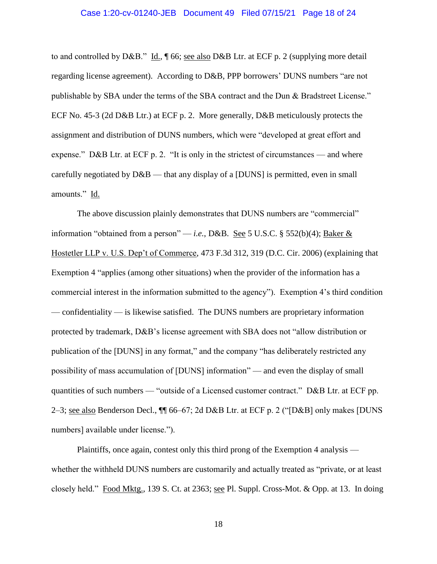#### Case 1:20-cv-01240-JEB Document 49 Filed 07/15/21 Page 18 of 24

to and controlled by D&B." Id., ¶ 66; <u>see also</u> D&B Ltr. at ECF p. 2 (supplying more detail regarding license agreement). According to D&B, PPP borrowers' DUNS numbers "are not publishable by SBA under the terms of the SBA contract and the Dun & Bradstreet License." ECF No. 45-3 (2d D&B Ltr.) at ECF p. 2. More generally, D&B meticulously protects the assignment and distribution of DUNS numbers, which were "developed at great effort and expense." D&B Ltr. at ECF p. 2. "It is only in the strictest of circumstances — and where carefully negotiated by  $D&B$  — that any display of a [DUNS] is permitted, even in small amounts." Id.

The above discussion plainly demonstrates that DUNS numbers are "commercial" information "obtained from a person" — *i.e.*, D&B. See 5 U.S.C. § 552(b)(4); Baker & Hostetler LLP v. U.S. Dep't of Commerce, 473 F.3d 312, 319 (D.C. Cir. 2006) (explaining that Exemption 4 "applies (among other situations) when the provider of the information has a commercial interest in the information submitted to the agency"). Exemption 4's third condition — confidentiality — is likewise satisfied. The DUNS numbers are proprietary information protected by trademark, D&B's license agreement with SBA does not "allow distribution or publication of the [DUNS] in any format," and the company "has deliberately restricted any possibility of mass accumulation of [DUNS] information" — and even the display of small quantities of such numbers — "outside of a Licensed customer contract." D&B Ltr. at ECF pp. 2–3; see also Benderson Decl., ¶¶ 66–67; 2d D&B Ltr. at ECF p. 2 ("[D&B] only makes [DUNS numbers] available under license.").

Plaintiffs, once again, contest only this third prong of the Exemption 4 analysis whether the withheld DUNS numbers are customarily and actually treated as "private, or at least closely held." Food Mktg., 139 S. Ct. at 2363; see Pl. Suppl. Cross-Mot. & Opp. at 13. In doing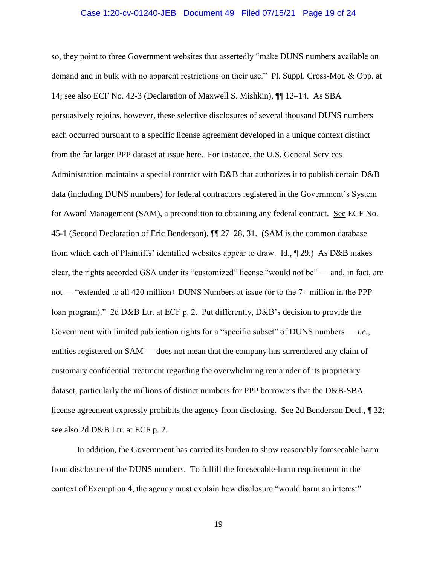#### Case 1:20-cv-01240-JEB Document 49 Filed 07/15/21 Page 19 of 24

so, they point to three Government websites that assertedly "make DUNS numbers available on demand and in bulk with no apparent restrictions on their use." Pl. Suppl. Cross-Mot. & Opp. at 14; see also ECF No. 42-3 (Declaration of Maxwell S. Mishkin), ¶¶ 12–14. As SBA persuasively rejoins, however, these selective disclosures of several thousand DUNS numbers each occurred pursuant to a specific license agreement developed in a unique context distinct from the far larger PPP dataset at issue here. For instance, the U.S. General Services Administration maintains a special contract with D&B that authorizes it to publish certain D&B data (including DUNS numbers) for federal contractors registered in the Government's System for Award Management (SAM), a precondition to obtaining any federal contract. See ECF No. 45-1 (Second Declaration of Eric Benderson), ¶¶ 27–28, 31. (SAM is the common database from which each of Plaintiffs' identified websites appear to draw.  $\underline{Id}$ ,  $\P$  29.) As D&B makes clear, the rights accorded GSA under its "customized" license "would not be" — and, in fact, are not — "extended to all 420 million+ DUNS Numbers at issue (or to the 7+ million in the PPP loan program)." 2d D&B Ltr. at ECF p. 2. Put differently, D&B's decision to provide the Government with limited publication rights for a "specific subset" of DUNS numbers — *i.e.*, entities registered on SAM — does not mean that the company has surrendered any claim of customary confidential treatment regarding the overwhelming remainder of its proprietary dataset, particularly the millions of distinct numbers for PPP borrowers that the D&B-SBA license agreement expressly prohibits the agency from disclosing. See 2d Benderson Decl., ¶ 32; see also 2d D&B Ltr. at ECF p. 2.

In addition, the Government has carried its burden to show reasonably foreseeable harm from disclosure of the DUNS numbers. To fulfill the foreseeable-harm requirement in the context of Exemption 4, the agency must explain how disclosure "would harm an interest"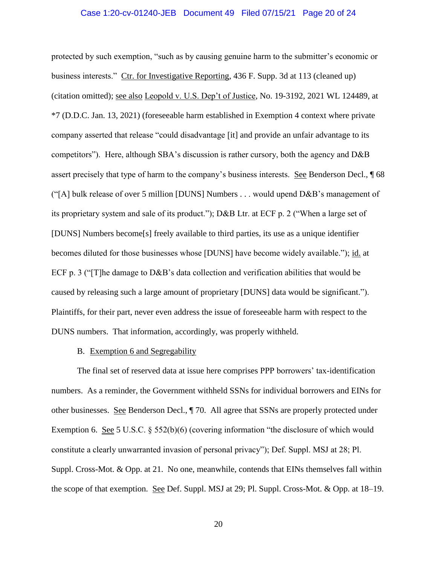# Case 1:20-cv-01240-JEB Document 49 Filed 07/15/21 Page 20 of 24

protected by such exemption, "such as by causing genuine harm to the submitter's economic or business interests." Ctr. for Investigative Reporting, 436 F. Supp. 3d at 113 (cleaned up) (citation omitted); see also Leopold v. U.S. Dep't of Justice, No. 19-3192, 2021 WL 124489, at \*7 (D.D.C. Jan. 13, 2021) (foreseeable harm established in Exemption 4 context where private company asserted that release "could disadvantage [it] and provide an unfair advantage to its competitors"). Here, although SBA's discussion is rather cursory, both the agency and D&B assert precisely that type of harm to the company's business interests. See Benderson Decl., ¶ 68 ("[A] bulk release of over 5 million [DUNS] Numbers . . . would upend D&B's management of its proprietary system and sale of its product."); D&B Ltr. at ECF p. 2 ("When a large set of [DUNS] Numbers become[s] freely available to third parties, its use as a unique identifier becomes diluted for those businesses whose [DUNS] have become widely available."); id. at ECF p. 3 ("[T]he damage to D&B's data collection and verification abilities that would be caused by releasing such a large amount of proprietary [DUNS] data would be significant."). Plaintiffs, for their part, never even address the issue of foreseeable harm with respect to the DUNS numbers. That information, accordingly, was properly withheld.

# B. Exemption 6 and Segregability

The final set of reserved data at issue here comprises PPP borrowers' tax-identification numbers. As a reminder, the Government withheld SSNs for individual borrowers and EINs for other businesses. See Benderson Decl., ¶ 70. All agree that SSNs are properly protected under Exemption 6. See 5 U.S.C. § 552(b)(6) (covering information "the disclosure of which would constitute a clearly unwarranted invasion of personal privacy"); Def. Suppl. MSJ at 28; Pl. Suppl. Cross-Mot. & Opp. at 21. No one, meanwhile, contends that EINs themselves fall within the scope of that exemption. See Def. Suppl. MSJ at 29; Pl. Suppl. Cross-Mot. & Opp. at 18–19.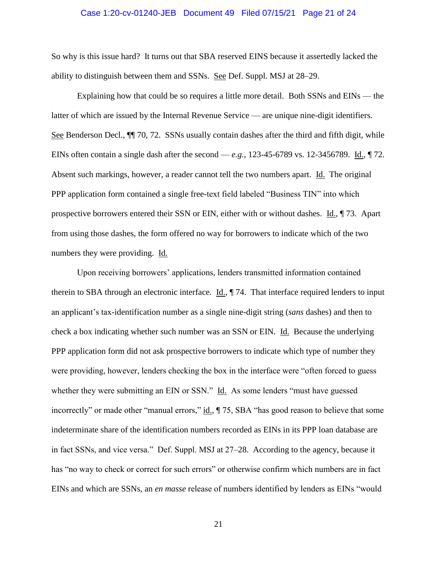#### Case 1:20-cv-01240-JEB Document 49 Filed 07/15/21 Page 21 of 24

So why is this issue hard? It turns out that SBA reserved EINS because it assertedly lacked the ability to distinguish between them and SSNs. See Def. Suppl. MSJ at 28–29.

Explaining how that could be so requires a little more detail. Both SSNs and EINs — the latter of which are issued by the Internal Revenue Service — are unique nine-digit identifiers. See Benderson Decl.,  $\P$  70, 72. SSNs usually contain dashes after the third and fifth digit, while EINs often contain a single dash after the second — *e.g.*, 123-45-6789 vs. 12-3456789. Id., ¶ 72. Absent such markings, however, a reader cannot tell the two numbers apart. Id. The original PPP application form contained a single free-text field labeled "Business TIN" into which prospective borrowers entered their SSN or EIN, either with or without dashes. Id., ¶ 73. Apart from using those dashes, the form offered no way for borrowers to indicate which of the two numbers they were providing. Id.

Upon receiving borrowers' applications, lenders transmitted information contained therein to SBA through an electronic interface. Id., ¶ 74. That interface required lenders to input an applicant's tax-identification number as a single nine-digit string (*sans* dashes) and then to check a box indicating whether such number was an SSN or EIN. Id. Because the underlying PPP application form did not ask prospective borrowers to indicate which type of number they were providing, however, lenders checking the box in the interface were "often forced to guess whether they were submitting an EIN or SSN." Id. As some lenders "must have guessed incorrectly" or made other "manual errors,"  $\underline{\text{id}}$ ,  $\P$  75, SBA "has good reason to believe that some indeterminate share of the identification numbers recorded as EINs in its PPP loan database are in fact SSNs, and vice versa." Def. Suppl. MSJ at 27–28. According to the agency, because it has "no way to check or correct for such errors" or otherwise confirm which numbers are in fact EINs and which are SSNs, an *en masse* release of numbers identified by lenders as EINs "would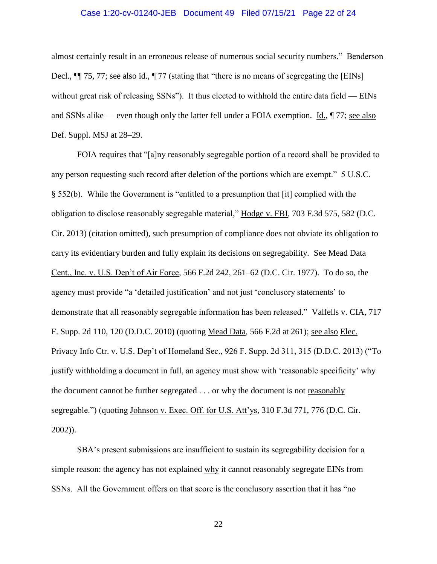# Case 1:20-cv-01240-JEB Document 49 Filed 07/15/21 Page 22 of 24

almost certainly result in an erroneous release of numerous social security numbers." Benderson Decl.,  $\P$  75, 77; see also id.,  $\P$  77 (stating that "there is no means of segregating the [EINs] without great risk of releasing SSNs"). It thus elected to withhold the entire data field — EINs and SSNs alike — even though only the latter fell under a FOIA exemption. Id., ¶ 77; see also Def. Suppl. MSJ at 28–29.

FOIA requires that "[a]ny reasonably segregable portion of a record shall be provided to any person requesting such record after deletion of the portions which are exempt." 5 U.S.C. § 552(b). While the Government is "entitled to a presumption that [it] complied with the obligation to disclose reasonably segregable material," Hodge v. FBI, 703 F.3d 575, 582 (D.C. Cir. 2013) (citation omitted), such presumption of compliance does not obviate its obligation to carry its evidentiary burden and fully explain its decisions on segregability. See Mead Data Cent., Inc. v. U.S. Dep't of Air Force, 566 F.2d 242, 261–62 (D.C. Cir. 1977). To do so, the agency must provide "a 'detailed justification' and not just 'conclusory statements' to demonstrate that all reasonably segregable information has been released." Valfells v. CIA, 717 F. Supp. 2d 110, 120 (D.D.C. 2010) (quoting Mead Data, 566 F.2d at 261); see also Elec. Privacy Info Ctr. v. U.S. Dep't of Homeland Sec., 926 F. Supp. 2d 311, 315 (D.D.C. 2013) ("To justify withholding a document in full, an agency must show with 'reasonable specificity' why the document cannot be further segregated . . . or why the document is not reasonably segregable.") (quoting Johnson v. Exec. Off. for U.S. Att'ys, 310 F.3d 771, 776 (D.C. Cir. 2002)).

SBA's present submissions are insufficient to sustain its segregability decision for a simple reason: the agency has not explained why it cannot reasonably segregate EINs from SSNs. All the Government offers on that score is the conclusory assertion that it has "no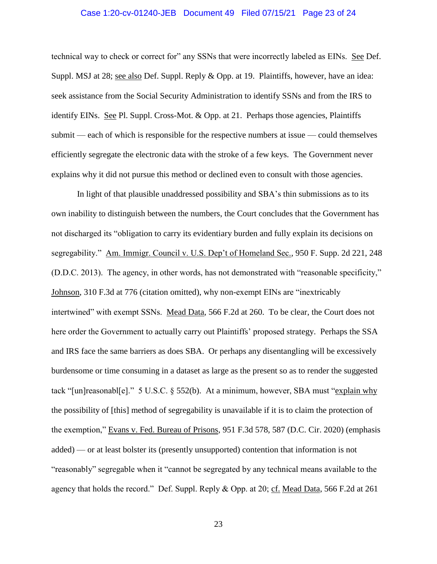# Case 1:20-cv-01240-JEB Document 49 Filed 07/15/21 Page 23 of 24

technical way to check or correct for" any SSNs that were incorrectly labeled as EINs. See Def. Suppl. MSJ at 28; see also Def. Suppl. Reply & Opp. at 19. Plaintiffs, however, have an idea: seek assistance from the Social Security Administration to identify SSNs and from the IRS to identify EINs. See Pl. Suppl. Cross-Mot. & Opp. at 21. Perhaps those agencies, Plaintiffs submit — each of which is responsible for the respective numbers at issue — could themselves efficiently segregate the electronic data with the stroke of a few keys. The Government never explains why it did not pursue this method or declined even to consult with those agencies.

In light of that plausible unaddressed possibility and SBA's thin submissions as to its own inability to distinguish between the numbers, the Court concludes that the Government has not discharged its "obligation to carry its evidentiary burden and fully explain its decisions on segregability." Am. Immigr. Council v. U.S. Dep't of Homeland Sec., 950 F. Supp. 2d 221, 248 (D.D.C. 2013). The agency, in other words, has not demonstrated with "reasonable specificity," Johnson, 310 F.3d at 776 (citation omitted), why non-exempt EINs are "inextricably intertwined" with exempt SSNs. Mead Data, 566 F.2d at 260. To be clear, the Court does not here order the Government to actually carry out Plaintiffs' proposed strategy. Perhaps the SSA and IRS face the same barriers as does SBA. Or perhaps any disentangling will be excessively burdensome or time consuming in a dataset as large as the present so as to render the suggested tack "[un]reasonabl[e]." 5 U.S.C. § 552(b). At a minimum, however, SBA must "explain why the possibility of [this] method of segregability is unavailable if it is to claim the protection of the exemption," Evans v. Fed. Bureau of Prisons, 951 F.3d 578, 587 (D.C. Cir. 2020) (emphasis added) — or at least bolster its (presently unsupported) contention that information is not "reasonably" segregable when it "cannot be segregated by any technical means available to the agency that holds the record." Def. Suppl. Reply & Opp. at 20; cf. Mead Data, 566 F.2d at 261